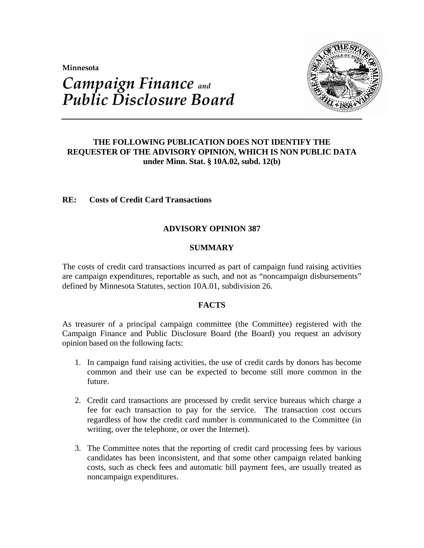**Minnesota** 



# *Campaign Finance and Public Disclosure Board*

## **THE FOLLOWING PUBLICATION DOES NOT IDENTIFY THE REQUESTER OF THE ADVISORY OPINION, WHICH IS NON PUBLIC DATA under Minn. Stat. § 10A.02, subd. 12(b)**

## **RE: Costs of Credit Card Transactions**

## **ADVISORY OPINION 387**

### **SUMMARY**

The costs of credit card transactions incurred as part of campaign fund raising activities are campaign expenditures, reportable as such, and not as "noncampaign disbursements" defined by Minnesota Statutes, section 10A.01, subdivision 26.

### **FACTS**

As treasurer of a principal campaign committee (the Committee) registered with the Campaign Finance and Public Disclosure Board (the Board) you request an advisory opinion based on the following facts:

- 1. In campaign fund raising activities, the use of credit cards by donors has become common and their use can be expected to become still more common in the future.
- 2. Credit card transactions are processed by credit service bureaus which charge a fee for each transaction to pay for the service. The transaction cost occurs regardless of how the credit card number is communicated to the Committee (in writing, over the telephone, or over the Internet).
- 3. The Committee notes that the reporting of credit card processing fees by various candidates has been inconsistent, and that some other campaign related banking costs, such as check fees and automatic bill payment fees, are usually treated as noncampaign expenditures.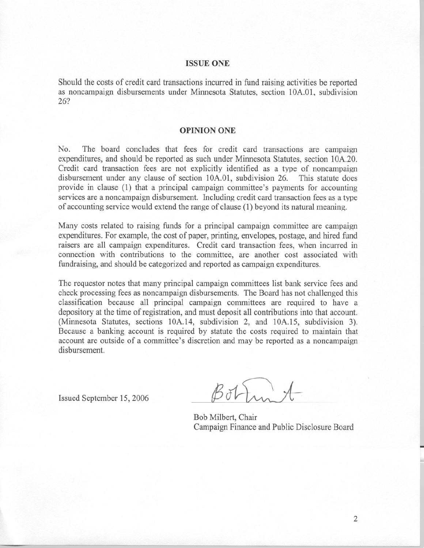#### **ISSUE ONE**

Should the costs of credit card transactions incurred in fund raising activities be reported as noncampaign disbursements under Minnesota Statutes, section 10A.01, subdivision 26?

#### **OPINION ONE**

No. The board concludes that fees for credit card transactions are campaign expenditures, and should be reported as such under Minnesota Statutes, section 10A.20. Credit card transaction fees are not explicitly identified as a type of noncampaign disbursement under any clause of section 10A.01, subdivision 26. This statute does provide in clause (1) that a principal campaign committee's payments for accounting services are a noncampaign disbursement. Including credit card transaction fees as a type of accounting service would extend the range of clause (1) beyond its natural meaning.

Many costs related to raising funds for a principal campaign committee are campaign expenditures. For example, the cost of paper, printing, envelopes, postage, and hired fund raisers are all campaign expenditures. Credit card transaction fees, when incurred in connection with contributions to the committee, are another cost associated with fundraising, and should be categorized and reported as campaign expenditures.

The requestor notes that many principal campaign committees list bank service fees and check processing fees as noncampaign disbursements. The Board has not challenged this classification because all principal campaign committees are required to have a depository at the time of registration, and must deposit all contributions into that account. (Minnesota Statutes, sections 10A.14, subdivision 2, and 10A.15, subdivision 3). Because a banking account is required by statute the costs required to maintain that account are outside of a committee's discretion and may be reported as a noncampaign disbursement.

Issued September 15, 2006

 $Bf1.$  A

Bob Milbert, Chair Campaign Finance and Public Disclosure Board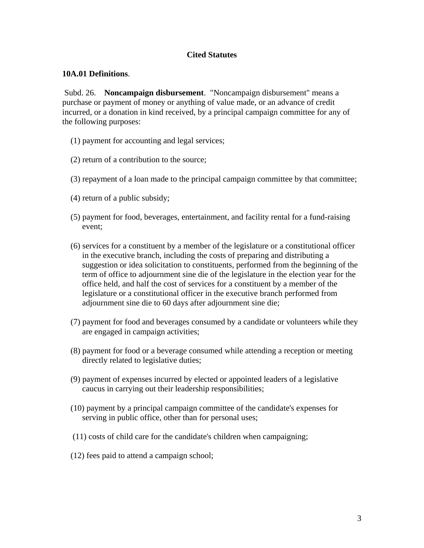## **Cited Statutes**

## **10A.01 Definitions**.

 Subd. 26. **Noncampaign disbursement**. "Noncampaign disbursement" means a purchase or payment of money or anything of value made, or an advance of credit incurred, or a donation in kind received, by a principal campaign committee for any of the following purposes:

- (1) payment for accounting and legal services;
- (2) return of a contribution to the source;
- (3) repayment of a loan made to the principal campaign committee by that committee;
- (4) return of a public subsidy;
- (5) payment for food, beverages, entertainment, and facility rental for a fund-raising event;
- (6) services for a constituent by a member of the legislature or a constitutional officer in the executive branch, including the costs of preparing and distributing a suggestion or idea solicitation to constituents, performed from the beginning of the term of office to adjournment sine die of the legislature in the election year for the office held, and half the cost of services for a constituent by a member of the legislature or a constitutional officer in the executive branch performed from adjournment sine die to 60 days after adjournment sine die;
- (7) payment for food and beverages consumed by a candidate or volunteers while they are engaged in campaign activities;
- (8) payment for food or a beverage consumed while attending a reception or meeting directly related to legislative duties;
- (9) payment of expenses incurred by elected or appointed leaders of a legislative caucus in carrying out their leadership responsibilities;
- (10) payment by a principal campaign committee of the candidate's expenses for serving in public office, other than for personal uses;
- (11) costs of child care for the candidate's children when campaigning;
- (12) fees paid to attend a campaign school;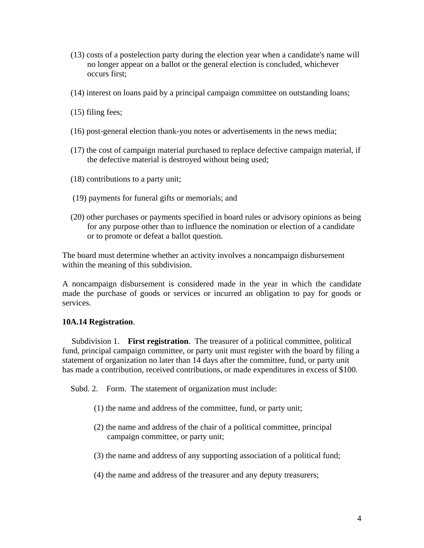- (13) costs of a postelection party during the election year when a candidate's name will no longer appear on a ballot or the general election is concluded, whichever occurs first;
- (14) interest on loans paid by a principal campaign committee on outstanding loans;
- (15) filing fees;
- (16) post-general election thank-you notes or advertisements in the news media;
- (17) the cost of campaign material purchased to replace defective campaign material, if the defective material is destroyed without being used;
- (18) contributions to a party unit;
- (19) payments for funeral gifts or memorials; and
- (20) other purchases or payments specified in board rules or advisory opinions as being for any purpose other than to influence the nomination or election of a candidate or to promote or defeat a ballot question.

The board must determine whether an activity involves a noncampaign disbursement within the meaning of this subdivision.

A noncampaign disbursement is considered made in the year in which the candidate made the purchase of goods or services or incurred an obligation to pay for goods or services.

#### **10A.14 Registration**.

 Subdivision 1. **First registration**. The treasurer of a political committee, political fund, principal campaign committee, or party unit must register with the board by filing a statement of organization no later than 14 days after the committee, fund, or party unit has made a contribution, received contributions, or made expenditures in excess of \$100.

Subd. 2. Form. The statement of organization must include:

- (1) the name and address of the committee, fund, or party unit;
- (2) the name and address of the chair of a political committee, principal campaign committee, or party unit;
- (3) the name and address of any supporting association of a political fund;
- (4) the name and address of the treasurer and any deputy treasurers;